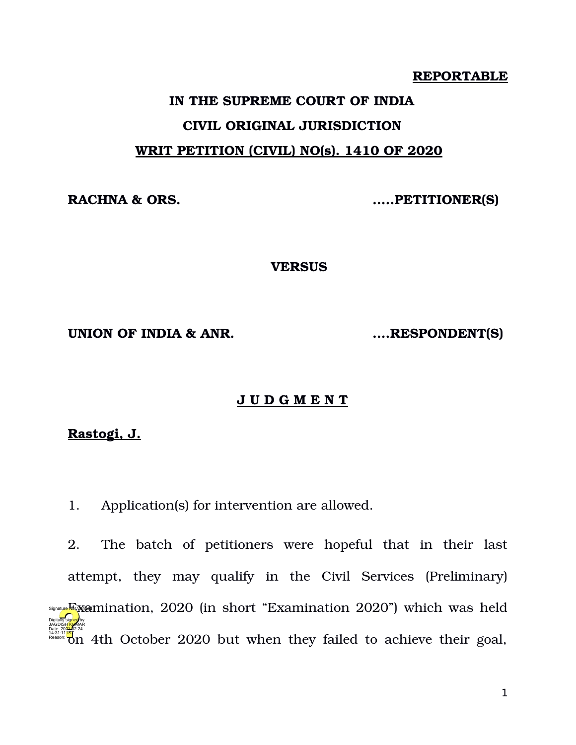#### **REPORTABLE**

# **IN THE SUPREME COURT OF INDIA CIVIL ORIGINAL JURISDICTION WRIT PETITION (CIVIL) NO(s). 1410 OF 2020**

**RACHNA & ORS. …..PETITIONER(S)**

**VERSUS**

**UNION OF INDIA & ANR. ….RESPONDENT(S)**

## **J U D G M E N T**

## **Rastogi, J.**

1. Application(s) for intervention are allowed.

2. The batch of petitioners were hopeful that in their last attempt, they may qualify in the Civil Services (Preliminary)  $\mathbb{E}_{\mathbb{X}}$  amination, 2020 (in short "Examination 2020") which was held  $\frac{14.31:11187}{100}$  on 4th October 2020 but when they failed to achieve their goal, Digitally signed by JAGDISH <mark>KU</mark>MAR Date: 2024-02.24 Reason: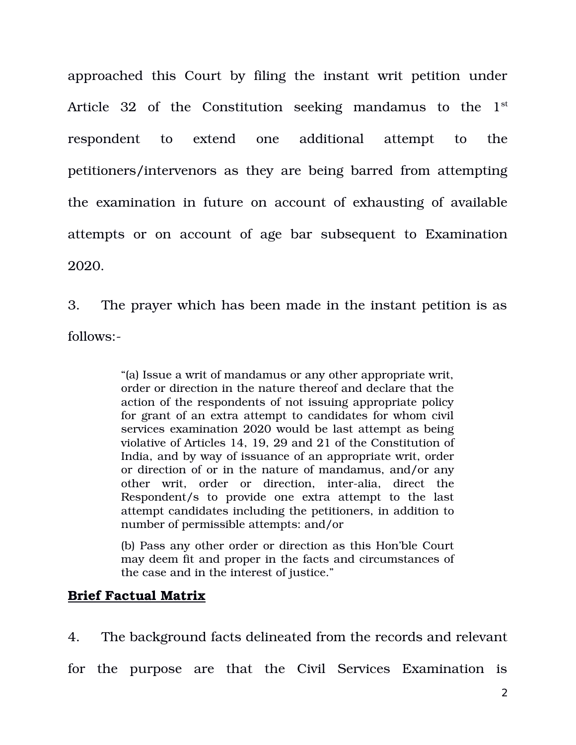approached this Court by filing the instant writ petition under Article  $32$  of the Constitution seeking mandamus to the  $1<sup>st</sup>$ respondent to extend one additional attempt to the petitioners/intervenors as they are being barred from attempting the examination in future on account of exhausting of available attempts or on account of age bar subsequent to Examination 2020.

3. The prayer which has been made in the instant petition is as follows:

> "(a) Issue a writ of mandamus or any other appropriate writ, order or direction in the nature thereof and declare that the action of the respondents of not issuing appropriate policy for grant of an extra attempt to candidates for whom civil services examination 2020 would be last attempt as being violative of Articles 14, 19, 29 and 21 of the Constitution of India, and by way of issuance of an appropriate writ, order or direction of or in the nature of mandamus, and/or any other writ, order or direction, inter-alia, direct the Respondent/s to provide one extra attempt to the last attempt candidates including the petitioners, in addition to number of permissible attempts: and/or

> (b) Pass any other order or direction as this Hon'ble Court may deem fit and proper in the facts and circumstances of the case and in the interest of justice."

## **Brief Factual Matrix**

4. The background facts delineated from the records and relevant

for the purpose are that the Civil Services Examination is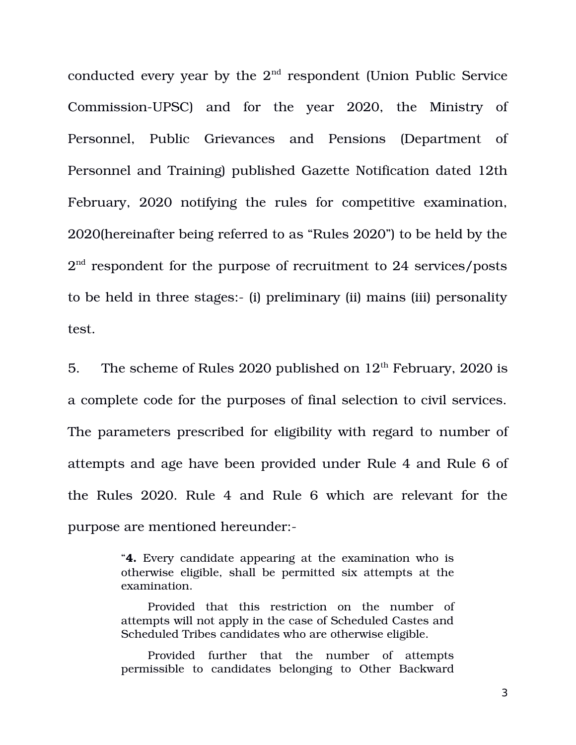conducted every year by the 2<sup>nd</sup> respondent (Union Public Service Commission-UPSC) and for the year 2020, the Ministry of Personnel, Public Grievances and Pensions (Department of Personnel and Training) published Gazette Notification dated 12th February, 2020 notifying the rules for competitive examination, 2020(hereinafter being referred to as "Rules 2020") to be held by the  $2^{\text{nd}}$  respondent for the purpose of recruitment to  $24$  services/posts to be held in three stages: (i) preliminary (ii) mains (iii) personality test.

5. The scheme of Rules 2020 published on  $12<sup>th</sup>$  February, 2020 is a complete code for the purposes of final selection to civil services. The parameters prescribed for eligibility with regard to number of attempts and age have been provided under Rule 4 and Rule 6 of the Rules 2020. Rule 4 and Rule 6 which are relevant for the purpose are mentioned hereunder:

> "**4.** Every candidate appearing at the examination who is otherwise eligible, shall be permitted six attempts at the examination.

> Provided that this restriction on the number of attempts will not apply in the case of Scheduled Castes and Scheduled Tribes candidates who are otherwise eligible.

> Provided further that the number of attempts permissible to candidates belonging to Other Backward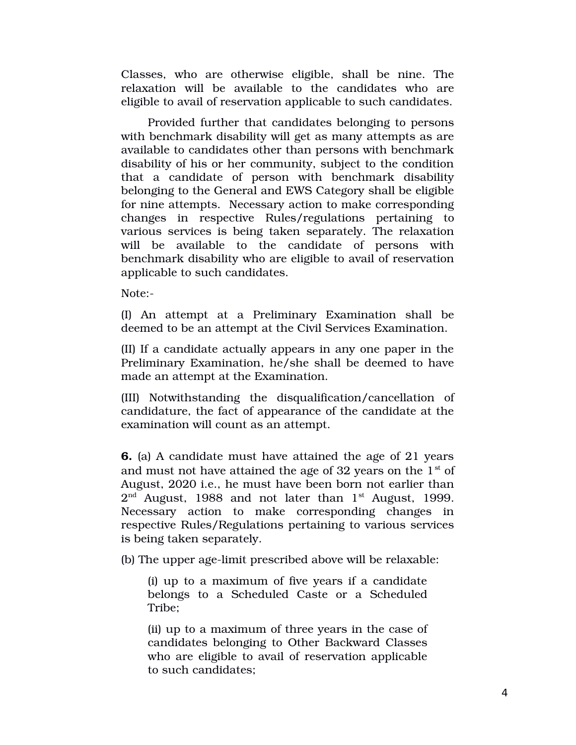Classes, who are otherwise eligible, shall be nine. The relaxation will be available to the candidates who are eligible to avail of reservation applicable to such candidates.

Provided further that candidates belonging to persons with benchmark disability will get as many attempts as are available to candidates other than persons with benchmark disability of his or her community, subject to the condition that a candidate of person with benchmark disability belonging to the General and EWS Category shall be eligible for nine attempts. Necessary action to make corresponding changes in respective Rules/regulations pertaining to various services is being taken separately. The relaxation will be available to the candidate of persons with benchmark disability who are eligible to avail of reservation applicable to such candidates.

Note:

(I) An attempt at a Preliminary Examination shall be deemed to be an attempt at the Civil Services Examination.

(II) If a candidate actually appears in any one paper in the Preliminary Examination, he/she shall be deemed to have made an attempt at the Examination.

(III) Notwithstanding the disqualification/cancellation of candidature, the fact of appearance of the candidate at the examination will count as an attempt.

**6.** (a) A candidate must have attained the age of 21 years and must not have attained the age of 32 years on the  $1<sup>st</sup>$  of August, 2020 i.e., he must have been born not earlier than  $2<sup>nd</sup>$  August, 1988 and not later than  $1<sup>st</sup>$  August, 1999. Necessary action to make corresponding changes in respective Rules/Regulations pertaining to various services is being taken separately.

(b) The upper age-limit prescribed above will be relaxable:

(i) up to a maximum of five years if a candidate belongs to a Scheduled Caste or a Scheduled Tribe;

(ii) up to a maximum of three years in the case of candidates belonging to Other Backward Classes who are eligible to avail of reservation applicable to such candidates;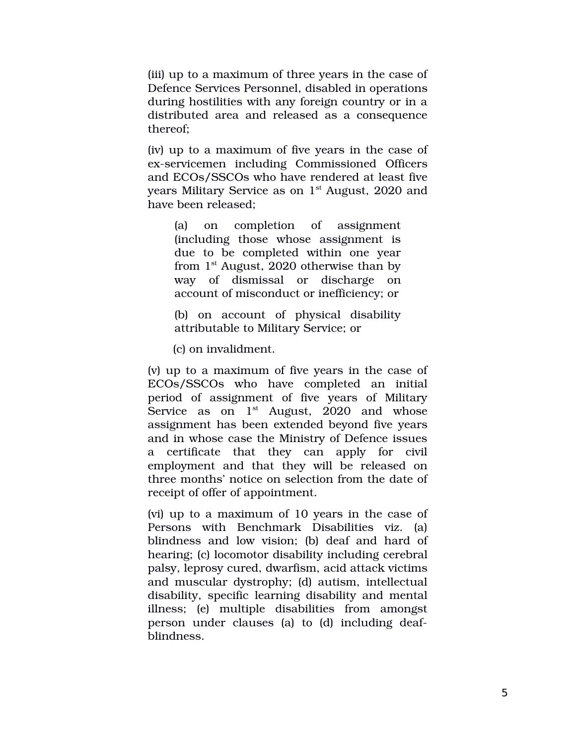(iii) up to a maximum of three years in the case of Defence Services Personnel, disabled in operations during hostilities with any foreign country or in a distributed area and released as a consequence thereof;

(iv) up to a maximum of five years in the case of ex-servicemen including Commissioned Officers and ECOs/SSCOs who have rendered at least five years Military Service as on  $1<sup>st</sup>$  August, 2020 and have been released;

(a) on completion of assignment (including those whose assignment is due to be completed within one year from  $1<sup>st</sup>$  August, 2020 otherwise than by way of dismissal or discharge on account of misconduct or inefficiency; or

(b) on account of physical disability attributable to Military Service; or

(c) on invalidment.

(v) up to a maximum of five years in the case of ECOs/SSCOs who have completed an initial period of assignment of five years of Military Service as on  $1<sup>st</sup>$  August, 2020 and whose assignment has been extended beyond five years and in whose case the Ministry of Defence issues a certificate that they can apply for civil employment and that they will be released on three months' notice on selection from the date of receipt of offer of appointment.

(vi) up to a maximum of 10 years in the case of Persons with Benchmark Disabilities viz. (a) blindness and low vision; (b) deaf and hard of hearing; (c) locomotor disability including cerebral palsy, leprosy cured, dwarfism, acid attack victims and muscular dystrophy; (d) autism, intellectual disability, specific learning disability and mental illness; (e) multiple disabilities from amongst person under clauses (a) to (d) including deafblindness.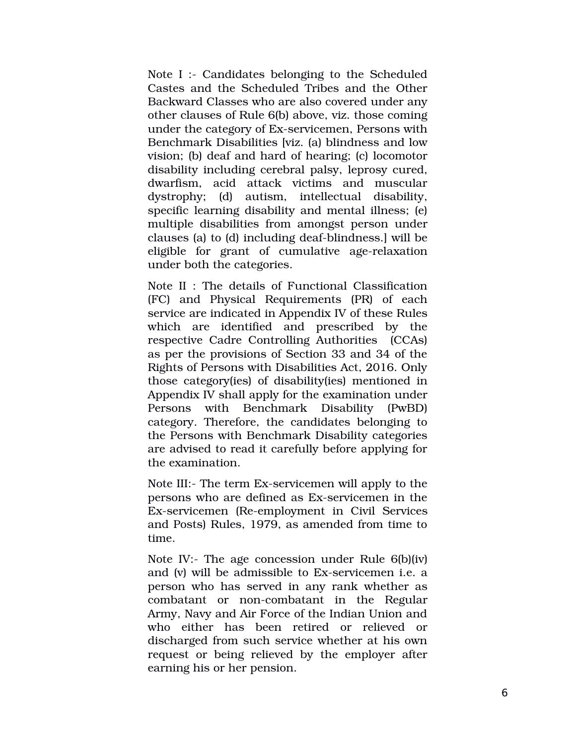Note I :- Candidates belonging to the Scheduled Castes and the Scheduled Tribes and the Other Backward Classes who are also covered under any other clauses of Rule 6(b) above, viz. those coming under the category of Ex-servicemen, Persons with Benchmark Disabilities [viz. (a) blindness and low vision; (b) deaf and hard of hearing; (c) locomotor disability including cerebral palsy, leprosy cured, dwarfism, acid attack victims and muscular dystrophy; (d) autism, intellectual disability, specific learning disability and mental illness; (e) multiple disabilities from amongst person under clauses (a) to (d) including deaf-blindness.] will be eligible for grant of cumulative age-relaxation under both the categories.

Note II : The details of Functional Classification (FC) and Physical Requirements (PR) of each service are indicated in Appendix IV of these Rules which are identified and prescribed by the respective Cadre Controlling Authorities (CCAs) as per the provisions of Section 33 and 34 of the Rights of Persons with Disabilities Act, 2016. Only those category(ies) of disability(ies) mentioned in Appendix IV shall apply for the examination under Persons with Benchmark Disability (PwBD) category. Therefore, the candidates belonging to the Persons with Benchmark Disability categories are advised to read it carefully before applying for the examination.

Note III:- The term Ex-servicemen will apply to the persons who are defined as Ex-servicemen in the Ex-servicemen (Re-employment in Civil Services and Posts) Rules, 1979, as amended from time to time.

Note IV:- The age concession under Rule 6(b)(iv) and  $(v)$  will be admissible to Ex-servicemen i.e. a person who has served in any rank whether as combatant or non-combatant in the Regular Army, Navy and Air Force of the Indian Union and who either has been retired or relieved or discharged from such service whether at his own request or being relieved by the employer after earning his or her pension.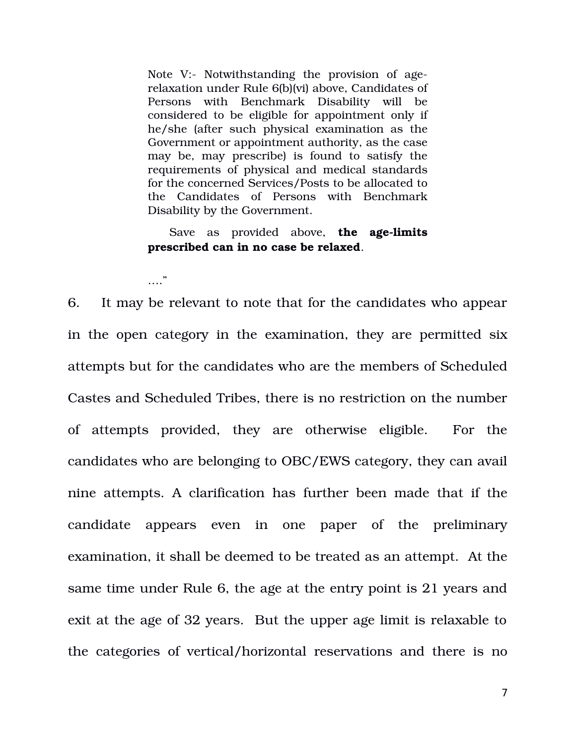Note V:- Notwithstanding the provision of agerelaxation under Rule 6(b)(vi) above, Candidates of Persons with Benchmark Disability will be considered to be eligible for appointment only if he/she (after such physical examination as the Government or appointment authority, as the case may be, may prescribe) is found to satisfy the requirements of physical and medical standards for the concerned Services/Posts to be allocated to the Candidates of Persons with Benchmark Disability by the Government.

Save as provided above, **the age-limits prescribed can in no case be relaxed**.

…"

6. It may be relevant to note that for the candidates who appear in the open category in the examination, they are permitted six attempts but for the candidates who are the members of Scheduled Castes and Scheduled Tribes, there is no restriction on the number of attempts provided, they are otherwise eligible. For the candidates who are belonging to OBC/EWS category, they can avail nine attempts. A clarification has further been made that if the candidate appears even in one paper of the preliminary examination, it shall be deemed to be treated as an attempt. At the same time under Rule 6, the age at the entry point is 21 years and exit at the age of 32 years. But the upper age limit is relaxable to the categories of vertical/horizontal reservations and there is no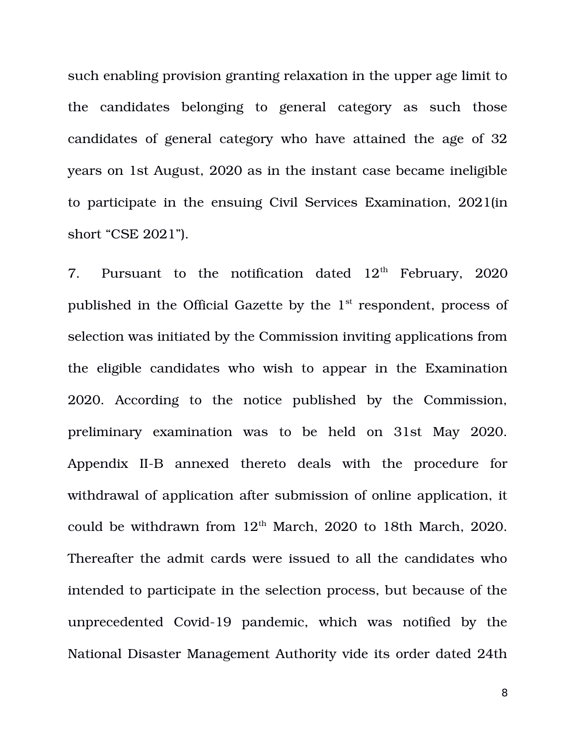such enabling provision granting relaxation in the upper age limit to the candidates belonging to general category as such those candidates of general category who have attained the age of 32 years on 1st August, 2020 as in the instant case became ineligible to participate in the ensuing Civil Services Examination, 2021(in short "CSE 2021").

7. Pursuant to the notification dated  $12<sup>th</sup>$  February, 2020 published in the Official Gazette by the 1<sup>st</sup> respondent, process of selection was initiated by the Commission inviting applications from the eligible candidates who wish to appear in the Examination 2020. According to the notice published by the Commission, preliminary examination was to be held on 31st May 2020. Appendix II-B annexed thereto deals with the procedure for withdrawal of application after submission of online application, it could be withdrawn from  $12<sup>th</sup>$  March, 2020 to 18th March, 2020. Thereafter the admit cards were issued to all the candidates who intended to participate in the selection process, but because of the unprecedented Covid-19 pandemic, which was notified by the National Disaster Management Authority vide its order dated 24th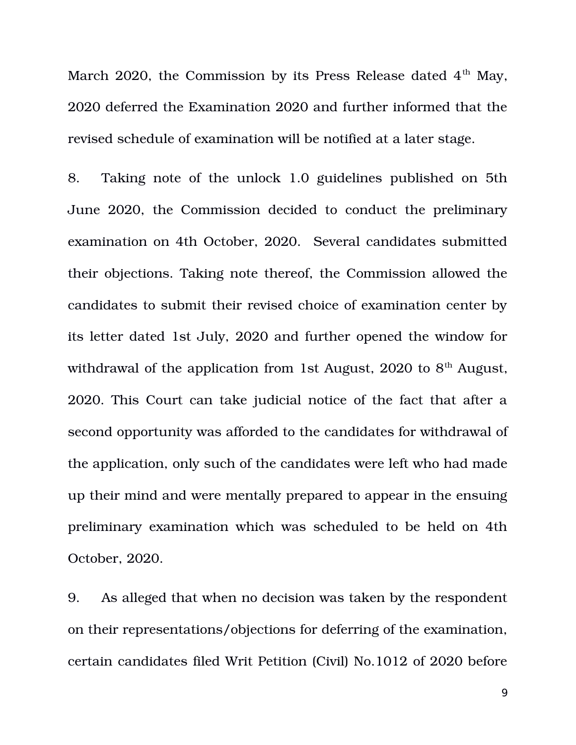March 2020, the Commission by its Press Release dated  $4<sup>th</sup>$  May, 2020 deferred the Examination 2020 and further informed that the revised schedule of examination will be notified at a later stage.

8. Taking note of the unlock 1.0 guidelines published on 5th June 2020, the Commission decided to conduct the preliminary examination on 4th October, 2020. Several candidates submitted their objections. Taking note thereof, the Commission allowed the candidates to submit their revised choice of examination center by its letter dated 1st July, 2020 and further opened the window for withdrawal of the application from 1st August, 2020 to  $8<sup>th</sup>$  August, 2020. This Court can take judicial notice of the fact that after a second opportunity was afforded to the candidates for withdrawal of the application, only such of the candidates were left who had made up their mind and were mentally prepared to appear in the ensuing preliminary examination which was scheduled to be held on 4th October, 2020.

9. As alleged that when no decision was taken by the respondent on their representations/objections for deferring of the examination, certain candidates filed Writ Petition (Civil) No.1012 of 2020 before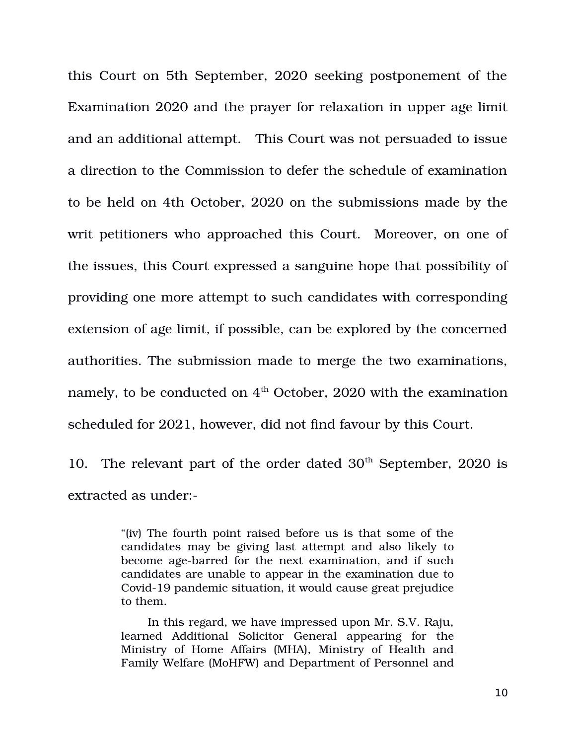this Court on 5th September, 2020 seeking postponement of the Examination 2020 and the prayer for relaxation in upper age limit and an additional attempt. This Court was not persuaded to issue a direction to the Commission to defer the schedule of examination to be held on 4th October, 2020 on the submissions made by the writ petitioners who approached this Court. Moreover, on one of the issues, this Court expressed a sanguine hope that possibility of providing one more attempt to such candidates with corresponding extension of age limit, if possible, can be explored by the concerned authorities. The submission made to merge the two examinations, namely, to be conducted on  $4<sup>th</sup>$  October, 2020 with the examination scheduled for 2021, however, did not find favour by this Court.

10. The relevant part of the order dated  $30<sup>th</sup>$  September, 2020 is extracted as under:

> "(iv) The fourth point raised before us is that some of the candidates may be giving last attempt and also likely to become age-barred for the next examination, and if such candidates are unable to appear in the examination due to Covid-19 pandemic situation, it would cause great prejudice to them.

> In this regard, we have impressed upon Mr. S.V. Raju, learned Additional Solicitor General appearing for the Ministry of Home Affairs (MHA), Ministry of Health and Family Welfare (MoHFW) and Department of Personnel and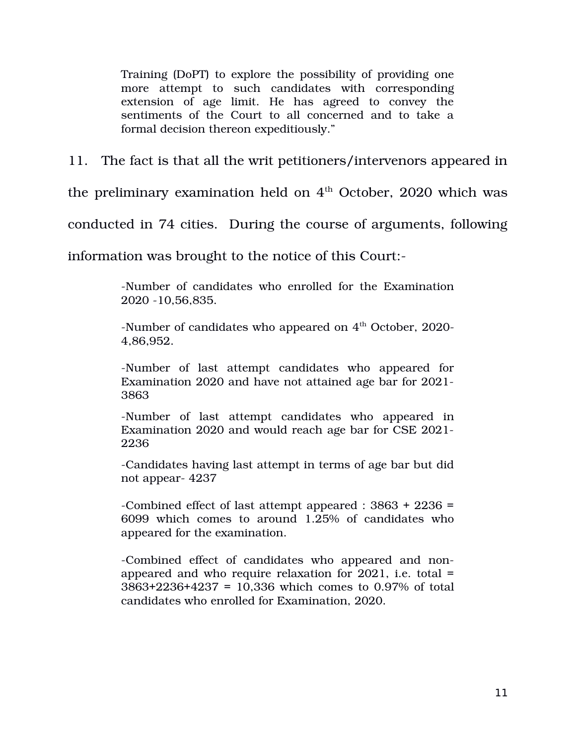Training (DoPT) to explore the possibility of providing one more attempt to such candidates with corresponding extension of age limit. He has agreed to convey the sentiments of the Court to all concerned and to take a formal decision thereon expeditiously."

11. The fact is that all the writ petitioners/intervenors appeared in

the preliminary examination held on  $4<sup>th</sup>$  October, 2020 which was

conducted in 74 cities. During the course of arguments, following

information was brought to the notice of this Court:

Number of candidates who enrolled for the Examination 2020 10,56,835.

-Number of candidates who appeared on  $4<sup>th</sup>$  October, 2020-4,86,952.

-Number of last attempt candidates who appeared for Examination 2020 and have not attained age bar for 2021 3863

-Number of last attempt candidates who appeared in Examination 2020 and would reach age bar for CSE 2021 2236

Candidates having last attempt in terms of age bar but did not appear-4237

Combined effect of last attempt appeared : 3863 + 2236 = 6099 which comes to around  $1.25%$  of candidates who appeared for the examination.

-Combined effect of candidates who appeared and nonappeared and who require relaxation for 2021, i.e. total = 3863+2236+4237 = 10,336 which comes to 0.97% of total candidates who enrolled for Examination, 2020.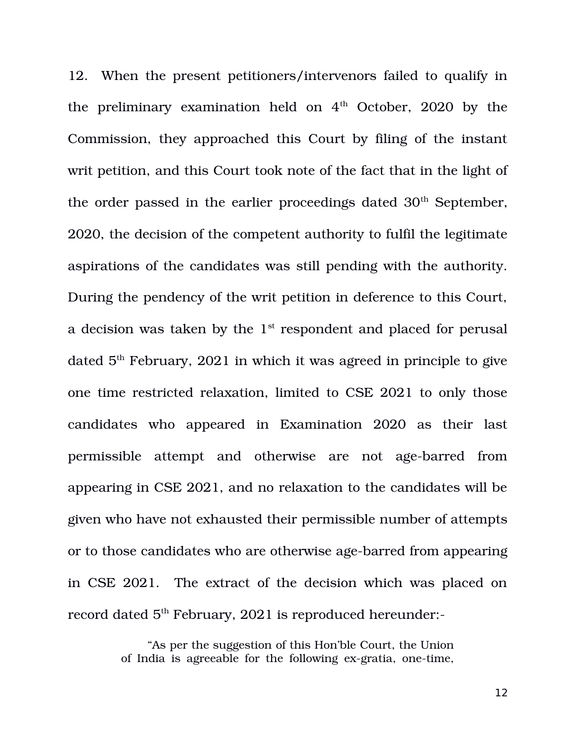12. When the present petitioners/intervenors failed to qualify in the preliminary examination held on  $4<sup>th</sup>$  October, 2020 by the Commission, they approached this Court by filing of the instant writ petition, and this Court took note of the fact that in the light of the order passed in the earlier proceedings dated 30<sup>th</sup> September, 2020, the decision of the competent authority to fulfil the legitimate aspirations of the candidates was still pending with the authority. During the pendency of the writ petition in deference to this Court, a decision was taken by the  $1<sup>st</sup>$  respondent and placed for perusal dated  $5<sup>th</sup>$  February, 2021 in which it was agreed in principle to give one time restricted relaxation, limited to CSE 2021 to only those candidates who appeared in Examination 2020 as their last permissible attempt and otherwise are not age-barred from appearing in CSE 2021, and no relaxation to the candidates will be given who have not exhausted their permissible number of attempts or to those candidates who are otherwise age-barred from appearing in CSE 2021. The extract of the decision which was placed on record dated 5<sup>th</sup> February, 2021 is reproduced hereunder:-

> "As per the suggestion of this Hon'ble Court, the Union of India is agreeable for the following ex-gratia, one-time,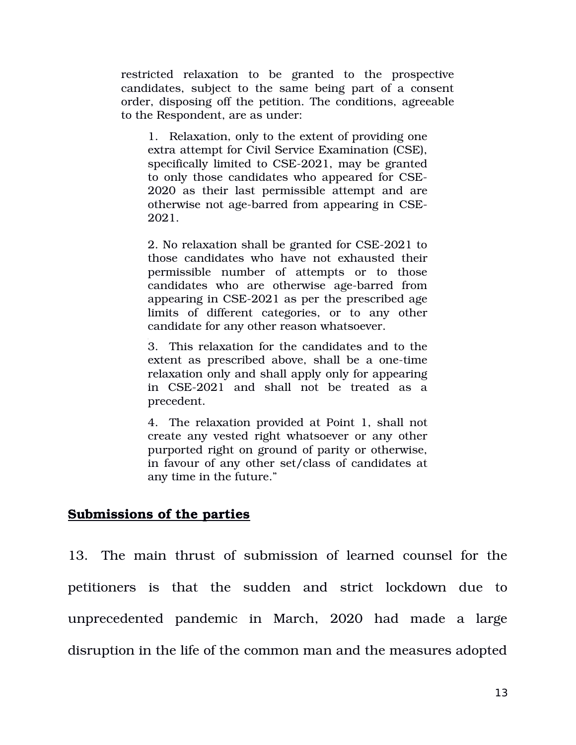restricted relaxation to be granted to the prospective candidates, subject to the same being part of a consent order, disposing off the petition. The conditions, agreeable to the Respondent, are as under:

1. Relaxation, only to the extent of providing one extra attempt for Civil Service Examination (CSE), specifically limited to CSE-2021, may be granted to only those candidates who appeared for CSE-2020 as their last permissible attempt and are otherwise not age-barred from appearing in CSE-2021.

2. No relaxation shall be granted for CSE-2021 to those candidates who have not exhausted their permissible number of attempts or to those candidates who are otherwise age-barred from appearing in CSE-2021 as per the prescribed age limits of different categories, or to any other candidate for any other reason whatsoever.

3. This relaxation for the candidates and to the extent as prescribed above, shall be a one-time relaxation only and shall apply only for appearing in CSE-2021 and shall not be treated as a precedent.

4. The relaxation provided at Point 1, shall not create any vested right whatsoever or any other purported right on ground of parity or otherwise, in favour of any other set/class of candidates at any time in the future."

#### **Submissions of the parties**

13. The main thrust of submission of learned counsel for the petitioners is that the sudden and strict lockdown due to unprecedented pandemic in March, 2020 had made a large disruption in the life of the common man and the measures adopted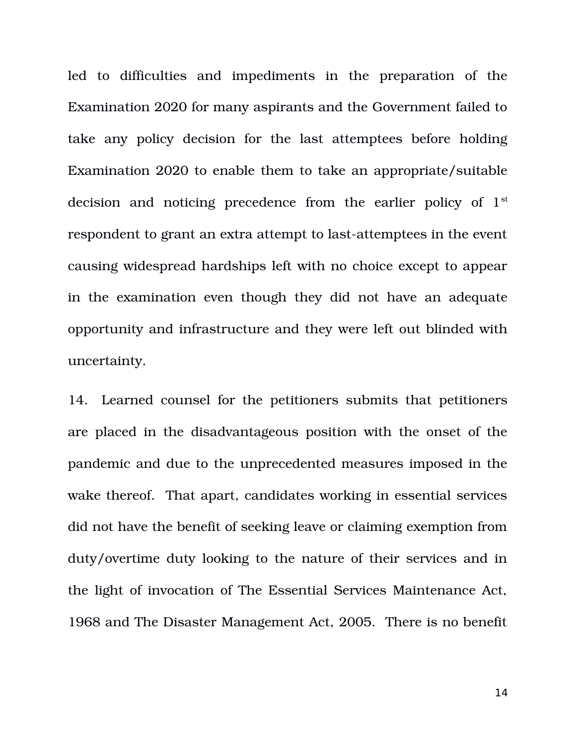led to difficulties and impediments in the preparation of the Examination 2020 for many aspirants and the Government failed to take any policy decision for the last attemptees before holding Examination 2020 to enable them to take an appropriate/suitable decision and noticing precedence from the earlier policy of  $1<sup>st</sup>$ respondent to grant an extra attempt to last-attemptees in the event causing widespread hardships left with no choice except to appear in the examination even though they did not have an adequate opportunity and infrastructure and they were left out blinded with uncertainty.

14. Learned counsel for the petitioners submits that petitioners are placed in the disadvantageous position with the onset of the pandemic and due to the unprecedented measures imposed in the wake thereof. That apart, candidates working in essential services did not have the benefit of seeking leave or claiming exemption from duty/overtime duty looking to the nature of their services and in the light of invocation of The Essential Services Maintenance Act, 1968 and The Disaster Management Act, 2005. There is no benefit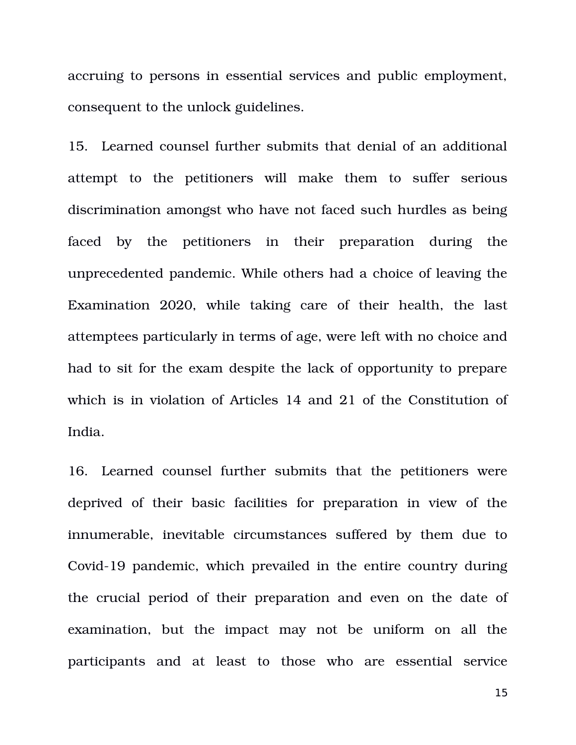accruing to persons in essential services and public employment, consequent to the unlock guidelines.

15. Learned counsel further submits that denial of an additional attempt to the petitioners will make them to suffer serious discrimination amongst who have not faced such hurdles as being faced by the petitioners in their preparation during the unprecedented pandemic. While others had a choice of leaving the Examination 2020, while taking care of their health, the last attemptees particularly in terms of age, were left with no choice and had to sit for the exam despite the lack of opportunity to prepare which is in violation of Articles 14 and 21 of the Constitution of India.

16. Learned counsel further submits that the petitioners were deprived of their basic facilities for preparation in view of the innumerable, inevitable circumstances suffered by them due to Covid-19 pandemic, which prevailed in the entire country during the crucial period of their preparation and even on the date of examination, but the impact may not be uniform on all the participants and at least to those who are essential service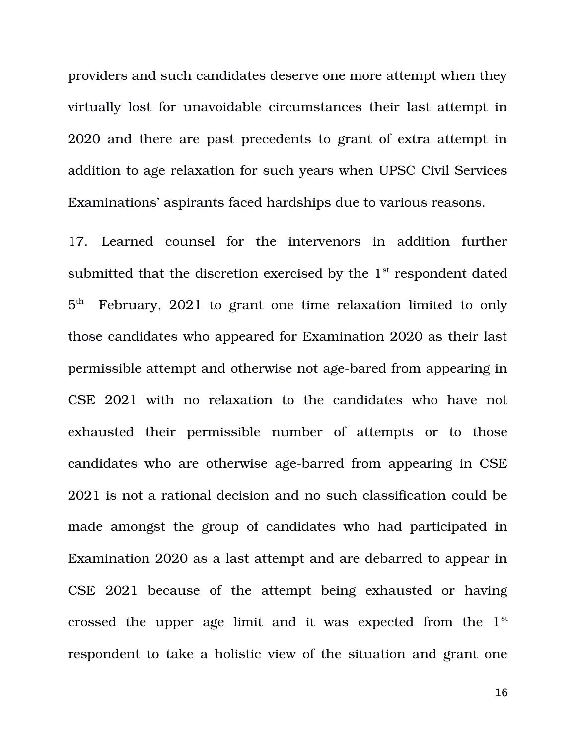providers and such candidates deserve one more attempt when they virtually lost for unavoidable circumstances their last attempt in 2020 and there are past precedents to grant of extra attempt in addition to age relaxation for such years when UPSC Civil Services Examinations' aspirants faced hardships due to various reasons.

17. Learned counsel for the intervenors in addition further submitted that the discretion exercised by the  $1<sup>st</sup>$  respondent dated  $5<sup>th</sup>$ February, 2021 to grant one time relaxation limited to only those candidates who appeared for Examination 2020 as their last permissible attempt and otherwise not age-bared from appearing in CSE 2021 with no relaxation to the candidates who have not exhausted their permissible number of attempts or to those candidates who are otherwise age-barred from appearing in CSE 2021 is not a rational decision and no such classification could be made amongst the group of candidates who had participated in Examination 2020 as a last attempt and are debarred to appear in CSE 2021 because of the attempt being exhausted or having crossed the upper age limit and it was expected from the  $1<sup>st</sup>$ respondent to take a holistic view of the situation and grant one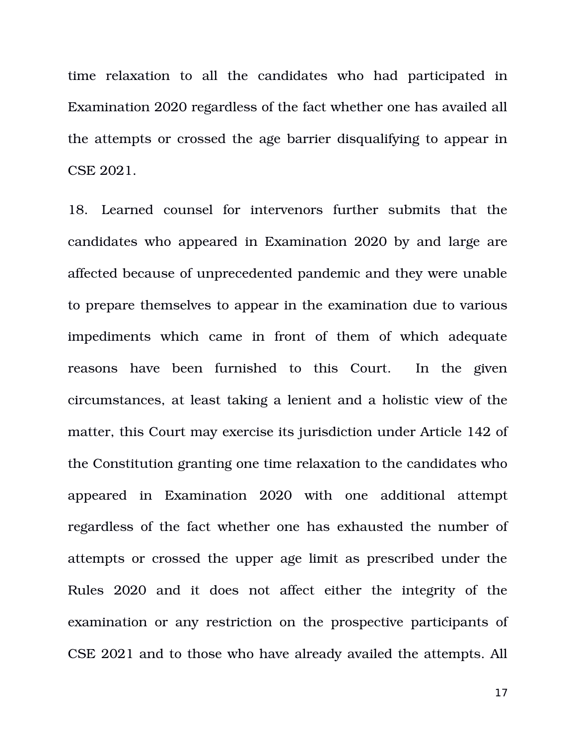time relaxation to all the candidates who had participated in Examination 2020 regardless of the fact whether one has availed all the attempts or crossed the age barrier disqualifying to appear in CSE 2021.

18. Learned counsel for intervenors further submits that the candidates who appeared in Examination 2020 by and large are affected because of unprecedented pandemic and they were unable to prepare themselves to appear in the examination due to various impediments which came in front of them of which adequate reasons have been furnished to this Court. In the given circumstances, at least taking a lenient and a holistic view of the matter, this Court may exercise its jurisdiction under Article 142 of the Constitution granting one time relaxation to the candidates who appeared in Examination 2020 with one additional attempt regardless of the fact whether one has exhausted the number of attempts or crossed the upper age limit as prescribed under the Rules 2020 and it does not affect either the integrity of the examination or any restriction on the prospective participants of CSE 2021 and to those who have already availed the attempts. All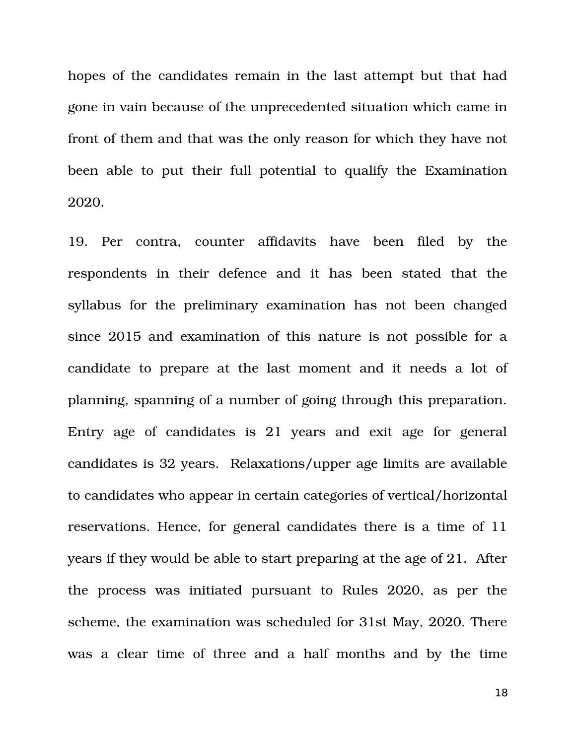hopes of the candidates remain in the last attempt but that had gone in vain because of the unprecedented situation which came in front of them and that was the only reason for which they have not been able to put their full potential to qualify the Examination 2020.

19. Per contra, counter affidavits have been filed by the respondents in their defence and it has been stated that the syllabus for the preliminary examination has not been changed since 2015 and examination of this nature is not possible for a candidate to prepare at the last moment and it needs a lot of planning, spanning of a number of going through this preparation. Entry age of candidates is 21 years and exit age for general candidates is 32 years. Relaxations/upper age limits are available to candidates who appear in certain categories of vertical/horizontal reservations. Hence, for general candidates there is a time of 11 years if they would be able to start preparing at the age of 21. After the process was initiated pursuant to Rules 2020, as per the scheme, the examination was scheduled for 31st May, 2020. There was a clear time of three and a half months and by the time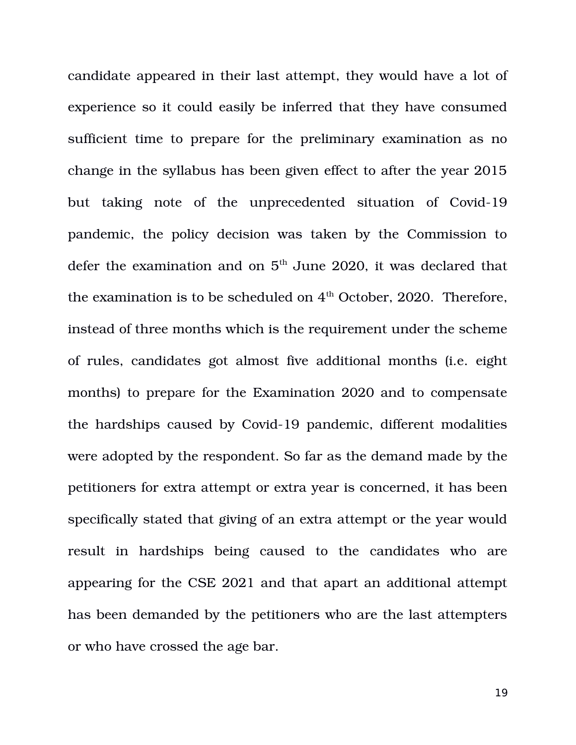candidate appeared in their last attempt, they would have a lot of experience so it could easily be inferred that they have consumed sufficient time to prepare for the preliminary examination as no change in the syllabus has been given effect to after the year 2015 but taking note of the unprecedented situation of Covid-19 pandemic, the policy decision was taken by the Commission to defer the examination and on  $5<sup>th</sup>$  June 2020, it was declared that the examination is to be scheduled on  $4<sup>th</sup>$  October, 2020. Therefore, instead of three months which is the requirement under the scheme of rules, candidates got almost five additional months (i.e. eight months) to prepare for the Examination 2020 and to compensate the hardships caused by Covid-19 pandemic, different modalities were adopted by the respondent. So far as the demand made by the petitioners for extra attempt or extra year is concerned, it has been specifically stated that giving of an extra attempt or the year would result in hardships being caused to the candidates who are appearing for the CSE 2021 and that apart an additional attempt has been demanded by the petitioners who are the last attempters or who have crossed the age bar.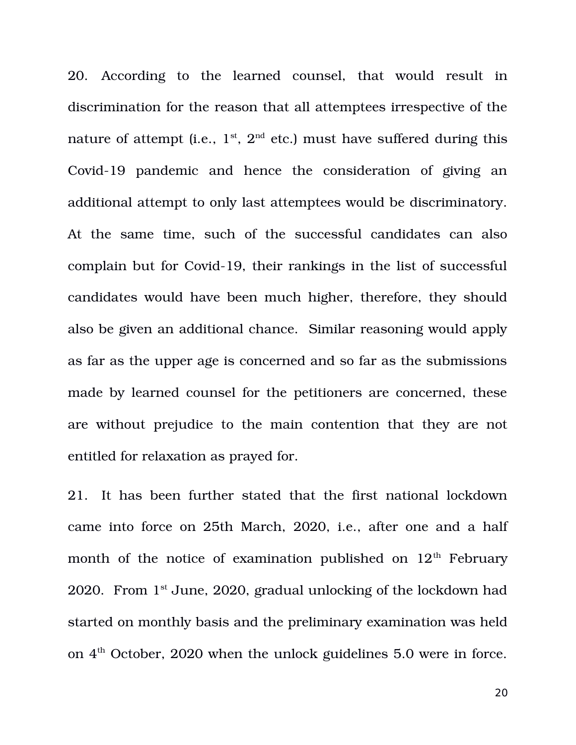20. According to the learned counsel, that would result in discrimination for the reason that all attemptees irrespective of the nature of attempt (i.e.,  $1^{st}$ ,  $2^{nd}$  etc.) must have suffered during this Covid-19 pandemic and hence the consideration of giving an additional attempt to only last attemptees would be discriminatory. At the same time, such of the successful candidates can also complain but for Covid-19, their rankings in the list of successful candidates would have been much higher, therefore, they should also be given an additional chance. Similar reasoning would apply as far as the upper age is concerned and so far as the submissions made by learned counsel for the petitioners are concerned, these are without prejudice to the main contention that they are not entitled for relaxation as prayed for.

21. It has been further stated that the first national lockdown came into force on 25th March, 2020, i.e., after one and a half month of the notice of examination published on  $12<sup>th</sup>$  February 2020. From  $1<sup>st</sup>$  June, 2020, gradual unlocking of the lockdown had started on monthly basis and the preliminary examination was held on  $4<sup>th</sup>$  October, 2020 when the unlock guidelines 5.0 were in force.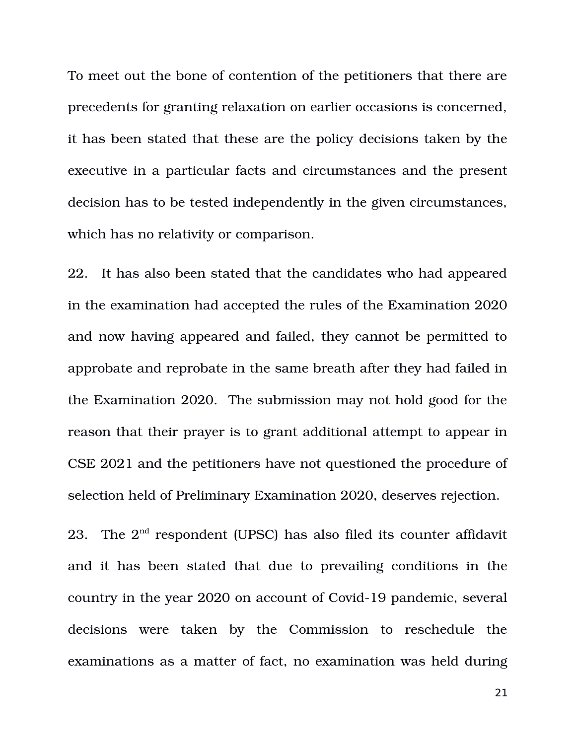To meet out the bone of contention of the petitioners that there are precedents for granting relaxation on earlier occasions is concerned, it has been stated that these are the policy decisions taken by the executive in a particular facts and circumstances and the present decision has to be tested independently in the given circumstances, which has no relativity or comparison.

22. It has also been stated that the candidates who had appeared in the examination had accepted the rules of the Examination 2020 and now having appeared and failed, they cannot be permitted to approbate and reprobate in the same breath after they had failed in the Examination 2020. The submission may not hold good for the reason that their prayer is to grant additional attempt to appear in CSE 2021 and the petitioners have not questioned the procedure of selection held of Preliminary Examination 2020, deserves rejection.

23. The  $2<sup>nd</sup>$  respondent (UPSC) has also filed its counter affidavit and it has been stated that due to prevailing conditions in the country in the year 2020 on account of Covid-19 pandemic, several decisions were taken by the Commission to reschedule the examinations as a matter of fact, no examination was held during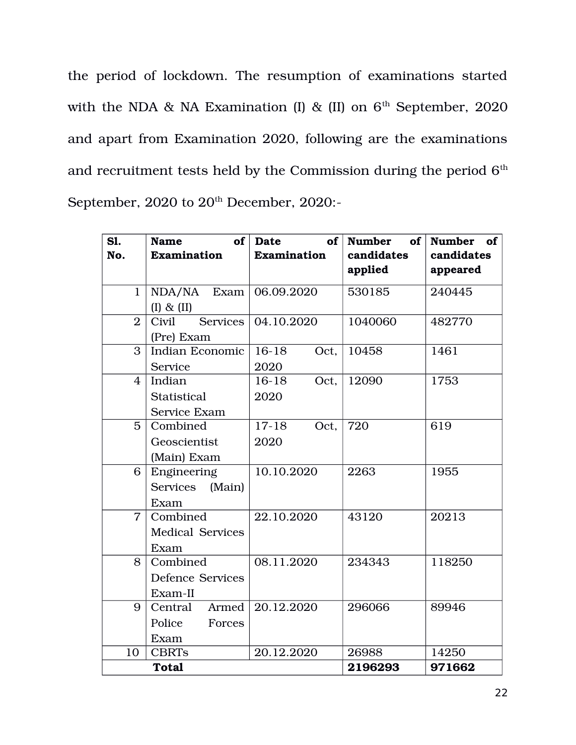the period of lockdown. The resumption of examinations started with the NDA & NA Examination (I) & (II) on  $6<sup>th</sup>$  September, 2020 and apart from Examination 2020, following are the examinations and recruitment tests held by the Commission during the period  $6^{\text{th}}$ September, 2020 to 20<sup>th</sup> December, 2020:-

| SI.<br>No.     | of <sub>l</sub><br><b>Name</b><br><b>Examination</b> | of<br>Date<br><b>Examination</b> | <b>Number</b><br>of <sub>1</sub><br>candidates<br>applied | Number of<br>candidates<br>appeared |
|----------------|------------------------------------------------------|----------------------------------|-----------------------------------------------------------|-------------------------------------|
| 1              | NDA/NA<br>Exam<br>$(I)$ & $(II)$                     | 06.09.2020                       | 530185                                                    | 240445                              |
| $\overline{2}$ | Services  <br>Civil<br>(Pre) Exam                    | 04.10.2020                       | 1040060                                                   | 482770                              |
| 3              | Indian Economic<br>Service                           | $16-18$<br>Oct,<br>2020          | 10458                                                     | 1461                                |
| 4              | Indian<br>Statistical<br>Service Exam                | $16-18$<br>Oct,<br>2020          | 12090                                                     | 1753                                |
| 5              | Combined<br>Geoscientist<br>(Main) Exam              | $17-18$<br>Oct,<br>2020          | 720                                                       | 619                                 |
| 6              | Engineering<br>Services (Main)<br>Exam               | 10.10.2020                       | 2263                                                      | 1955                                |
| $\overline{7}$ | Combined<br><b>Medical Services</b><br>Exam          | 22.10.2020                       | 43120                                                     | 20213                               |
| 8              | Combined<br><b>Defence Services</b><br>Exam-II       | 08.11.2020                       | 234343                                                    | 118250                              |
| 9              | Central<br><b>Armed</b><br>Police<br>Forces<br>Exam  | 20.12.2020                       | 296066                                                    | 89946                               |
| 10             | <b>CBRTs</b>                                         | 20.12.2020                       | 26988                                                     | 14250                               |
|                | <b>Total</b>                                         |                                  | 2196293                                                   | 971662                              |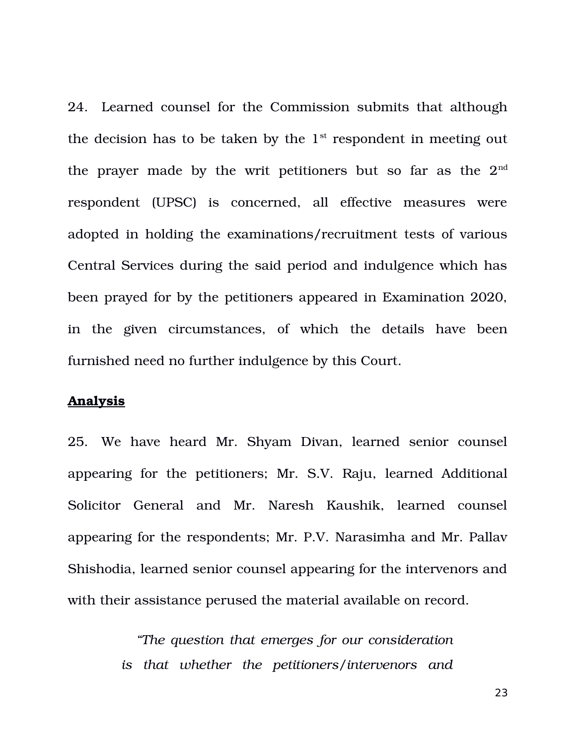24. Learned counsel for the Commission submits that although the decision has to be taken by the  $1<sup>st</sup>$  respondent in meeting out the prayer made by the writ petitioners but so far as the  $2<sup>nd</sup>$ respondent (UPSC) is concerned, all effective measures were adopted in holding the examinations/recruitment tests of various Central Services during the said period and indulgence which has been prayed for by the petitioners appeared in Examination 2020, in the given circumstances, of which the details have been furnished need no further indulgence by this Court.

#### **Analysis**

25. We have heard Mr. Shyam Divan, learned senior counsel appearing for the petitioners; Mr. S.V. Raju, learned Additional Solicitor General and Mr. Naresh Kaushik, learned counsel appearing for the respondents; Mr. P.V. Narasimha and Mr. Pallav Shishodia, learned senior counsel appearing for the intervenors and with their assistance perused the material available on record.

> *"The question that emerges for our consideration is that whether the petitioners/intervenors and*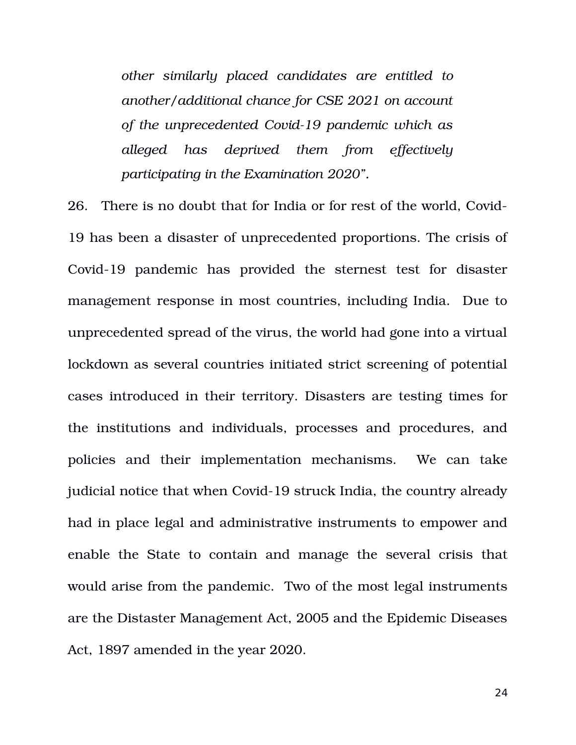*other similarly placed candidates are entitled to another/additional chance for CSE 2021 on account of the unprecedented Covid19 pandemic which as alleged has deprived them from effectively participating in the Examination 2020".* 

26. There is no doubt that for India or for rest of the world, Covid-19 has been a disaster of unprecedented proportions. The crisis of Covid-19 pandemic has provided the sternest test for disaster management response in most countries, including India. Due to unprecedented spread of the virus, the world had gone into a virtual lockdown as several countries initiated strict screening of potential cases introduced in their territory. Disasters are testing times for the institutions and individuals, processes and procedures, and policies and their implementation mechanisms. We can take judicial notice that when Covid-19 struck India, the country already had in place legal and administrative instruments to empower and enable the State to contain and manage the several crisis that would arise from the pandemic. Two of the most legal instruments are the Distaster Management Act, 2005 and the Epidemic Diseases Act, 1897 amended in the year 2020.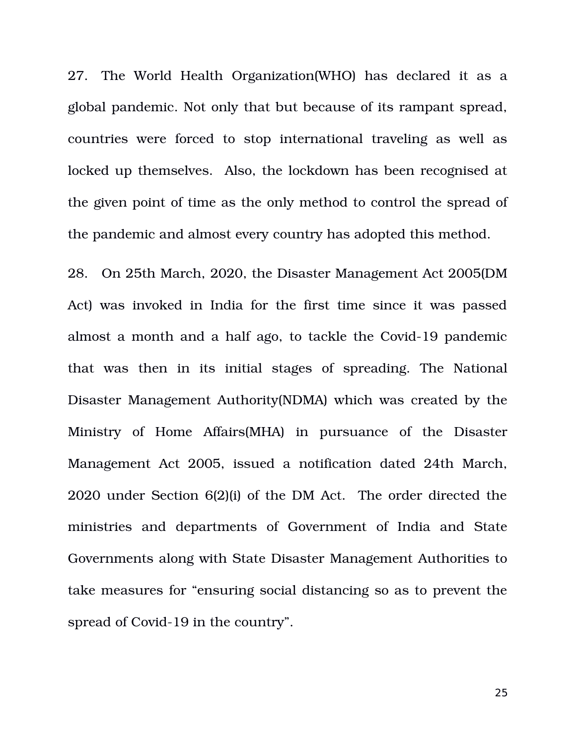27. The World Health Organization (WHO) has declared it as a global pandemic. Not only that but because of its rampant spread, countries were forced to stop international traveling as well as locked up themselves. Also, the lockdown has been recognised at the given point of time as the only method to control the spread of the pandemic and almost every country has adopted this method.

28. On 25th March, 2020, the Disaster Management Act 2005(DM Act) was invoked in India for the first time since it was passed almost a month and a half ago, to tackle the Covid-19 pandemic that was then in its initial stages of spreading. The National Disaster Management Authority(NDMA) which was created by the Ministry of Home Affairs(MHA) in pursuance of the Disaster Management Act 2005, issued a notification dated 24th March, 2020 under Section 6(2)(i) of the DM Act. The order directed the ministries and departments of Government of India and State Governments along with State Disaster Management Authorities to take measures for "ensuring social distancing so as to prevent the spread of Covid-19 in the country".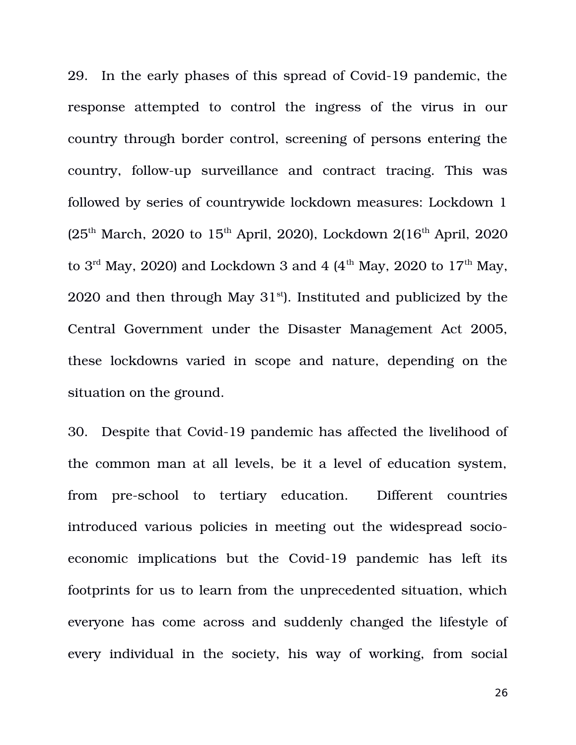29. In the early phases of this spread of Covid-19 pandemic, the response attempted to control the ingress of the virus in our country through border control, screening of persons entering the country, follow-up surveillance and contract tracing. This was followed by series of countrywide lockdown measures: Lockdown 1  $(25<sup>th</sup> March, 2020 to 15<sup>th</sup> April, 2020)$ , Lockdown  $2(16<sup>th</sup> April, 2020)$ to  $3<sup>rd</sup>$  May, 2020) and Lockdown 3 and 4 (4<sup>th</sup> May, 2020 to 17<sup>th</sup> May, 2020 and then through May  $31<sup>st</sup>$ ). Instituted and publicized by the Central Government under the Disaster Management Act 2005, these lockdowns varied in scope and nature, depending on the situation on the ground.

30. Despite that Covid-19 pandemic has affected the livelihood of the common man at all levels, be it a level of education system, from pre-school to tertiary education. Different countries introduced various policies in meeting out the widespread socioeconomic implications but the Covid-19 pandemic has left its footprints for us to learn from the unprecedented situation, which everyone has come across and suddenly changed the lifestyle of every individual in the society, his way of working, from social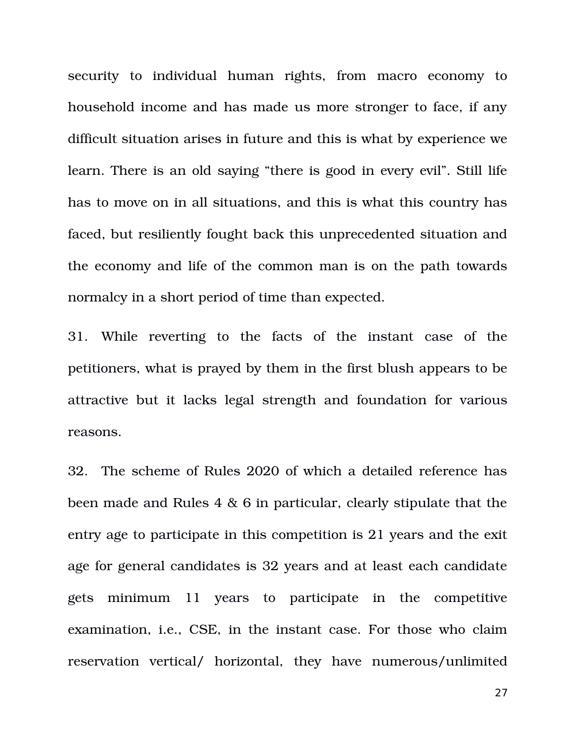security to individual human rights, from macro economy to household income and has made us more stronger to face, if any difficult situation arises in future and this is what by experience we learn. There is an old saying "there is good in every evil". Still life has to move on in all situations, and this is what this country has faced, but resiliently fought back this unprecedented situation and the economy and life of the common man is on the path towards normalcy in a short period of time than expected.

31. While reverting to the facts of the instant case of the petitioners, what is prayed by them in the first blush appears to be attractive but it lacks legal strength and foundation for various reasons.

32. The scheme of Rules 2020 of which a detailed reference has been made and Rules 4 & 6 in particular, clearly stipulate that the entry age to participate in this competition is 21 years and the exit age for general candidates is 32 years and at least each candidate gets minimum 11 years to participate in the competitive examination, i.e., CSE, in the instant case. For those who claim reservation vertical/ horizontal, they have numerous/unlimited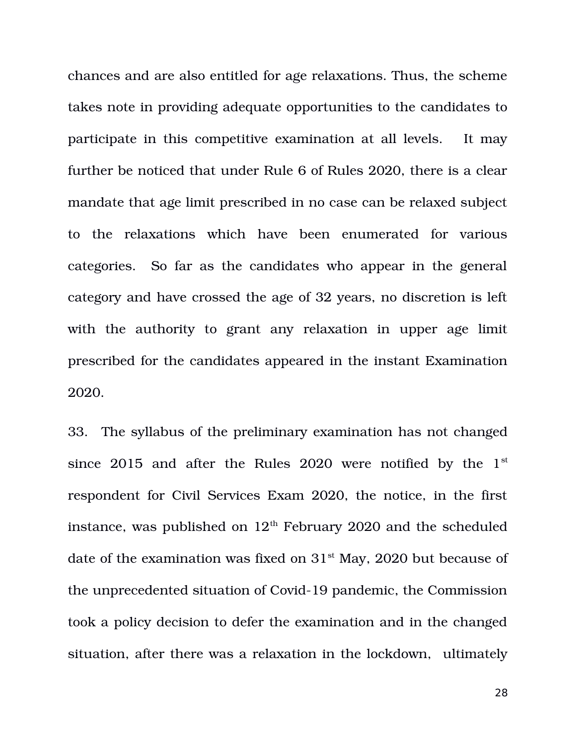chances and are also entitled for age relaxations. Thus, the scheme takes note in providing adequate opportunities to the candidates to participate in this competitive examination at all levels. It may further be noticed that under Rule 6 of Rules 2020, there is a clear mandate that age limit prescribed in no case can be relaxed subject to the relaxations which have been enumerated for various categories. So far as the candidates who appear in the general category and have crossed the age of 32 years, no discretion is left with the authority to grant any relaxation in upper age limit prescribed for the candidates appeared in the instant Examination 2020.

33. The syllabus of the preliminary examination has not changed since  $2015$  and after the Rules  $2020$  were notified by the  $1<sup>st</sup>$ respondent for Civil Services Exam 2020, the notice, in the first instance, was published on  $12<sup>th</sup>$  February 2020 and the scheduled date of the examination was fixed on  $31<sup>st</sup>$  May, 2020 but because of the unprecedented situation of Covid-19 pandemic, the Commission took a policy decision to defer the examination and in the changed situation, after there was a relaxation in the lockdown, ultimately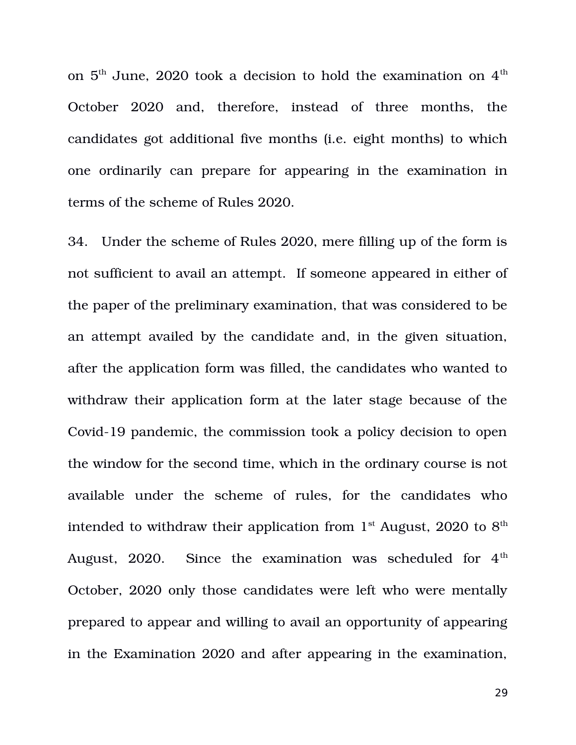on  $5<sup>th</sup>$  June, 2020 took a decision to hold the examination on  $4<sup>th</sup>$ October 2020 and, therefore, instead of three months, the candidates got additional five months (i.e. eight months) to which one ordinarily can prepare for appearing in the examination in terms of the scheme of Rules 2020.

34. Under the scheme of Rules 2020, mere filling up of the form is not sufficient to avail an attempt. If someone appeared in either of the paper of the preliminary examination, that was considered to be an attempt availed by the candidate and, in the given situation, after the application form was filled, the candidates who wanted to withdraw their application form at the later stage because of the Covid-19 pandemic, the commission took a policy decision to open the window for the second time, which in the ordinary course is not available under the scheme of rules, for the candidates who intended to withdraw their application from  $1<sup>st</sup>$  August, 2020 to  $8<sup>th</sup>$ August,  $2020$ . Since the examination was scheduled for  $4<sup>th</sup>$ October, 2020 only those candidates were left who were mentally prepared to appear and willing to avail an opportunity of appearing in the Examination 2020 and after appearing in the examination,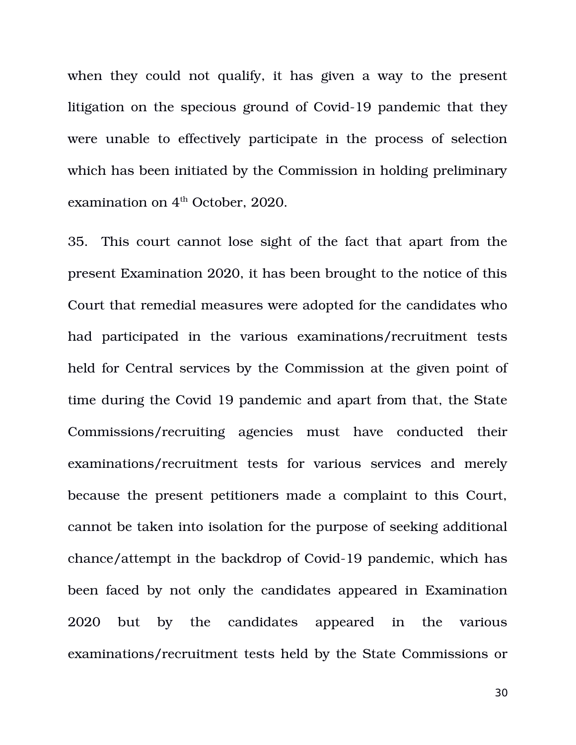when they could not qualify, it has given a way to the present litigation on the specious ground of Covid-19 pandemic that they were unable to effectively participate in the process of selection which has been initiated by the Commission in holding preliminary examination on  $4<sup>th</sup>$  October, 2020.

35. This court cannot lose sight of the fact that apart from the present Examination 2020, it has been brought to the notice of this Court that remedial measures were adopted for the candidates who had participated in the various examinations/recruitment tests held for Central services by the Commission at the given point of time during the Covid 19 pandemic and apart from that, the State Commissions/recruiting agencies must have conducted their examinations/recruitment tests for various services and merely because the present petitioners made a complaint to this Court, cannot be taken into isolation for the purpose of seeking additional chance/attempt in the backdrop of Covid-19 pandemic, which has been faced by not only the candidates appeared in Examination 2020 but by the candidates appeared in the various examinations/recruitment tests held by the State Commissions or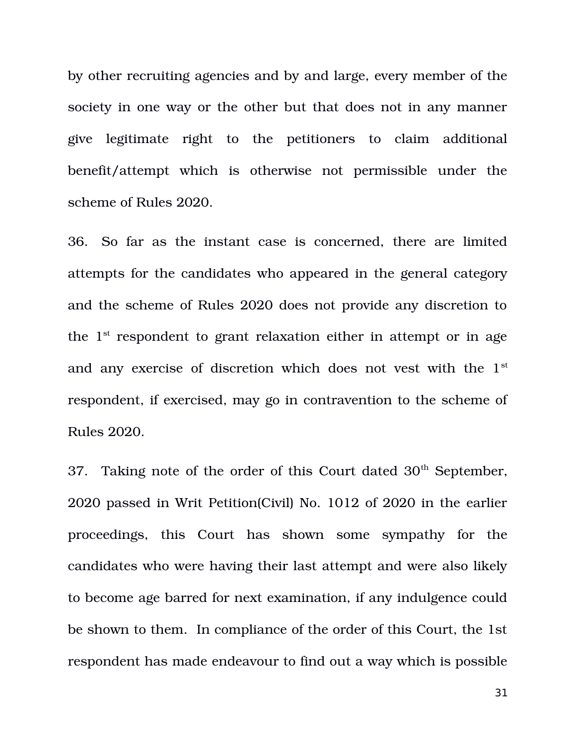by other recruiting agencies and by and large, every member of the society in one way or the other but that does not in any manner give legitimate right to the petitioners to claim additional benefit/attempt which is otherwise not permissible under the scheme of Rules 2020.

36. So far as the instant case is concerned, there are limited attempts for the candidates who appeared in the general category and the scheme of Rules 2020 does not provide any discretion to the  $1<sup>st</sup>$  respondent to grant relaxation either in attempt or in age and any exercise of discretion which does not vest with the 1<sup>st</sup> respondent, if exercised, may go in contravention to the scheme of Rules 2020.

37. Taking note of the order of this Court dated  $30<sup>th</sup>$  September, 2020 passed in Writ Petition(Civil) No. 1012 of 2020 in the earlier proceedings, this Court has shown some sympathy for the candidates who were having their last attempt and were also likely to become age barred for next examination, if any indulgence could be shown to them. In compliance of the order of this Court, the 1st respondent has made endeavour to find out a way which is possible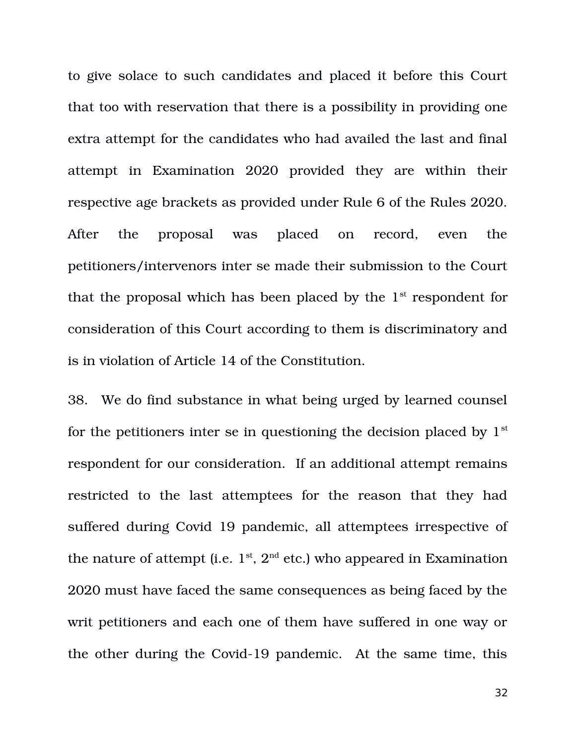to give solace to such candidates and placed it before this Court that too with reservation that there is a possibility in providing one extra attempt for the candidates who had availed the last and final attempt in Examination 2020 provided they are within their respective age brackets as provided under Rule 6 of the Rules 2020. After the proposal was placed on record, even the petitioners/intervenors inter se made their submission to the Court that the proposal which has been placed by the  $1<sup>st</sup>$  respondent for consideration of this Court according to them is discriminatory and is in violation of Article 14 of the Constitution.

38. We do find substance in what being urged by learned counsel for the petitioners inter se in questioning the decision placed by  $1<sup>st</sup>$ respondent for our consideration. If an additional attempt remains restricted to the last attemptees for the reason that they had suffered during Covid 19 pandemic, all attemptees irrespective of the nature of attempt (i.e.  $1^{\text{st}}$ ,  $2^{\text{nd}}$  etc.) who appeared in Examination 2020 must have faced the same consequences as being faced by the writ petitioners and each one of them have suffered in one way or the other during the Covid-19 pandemic. At the same time, this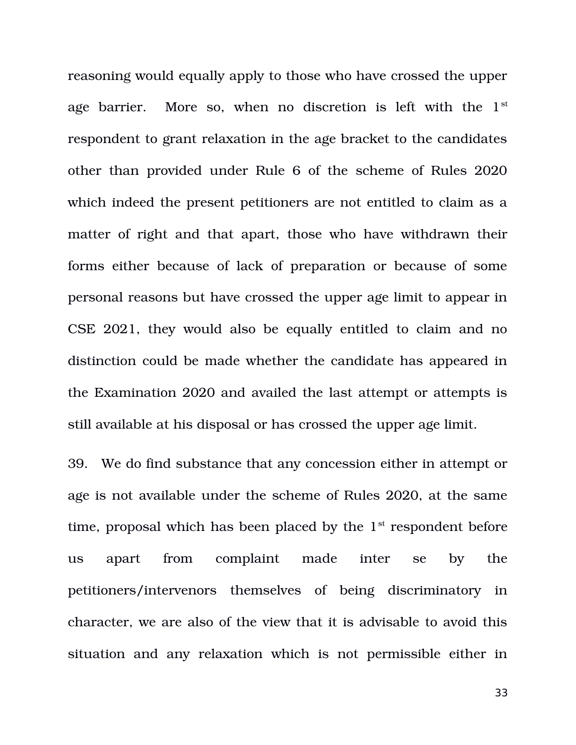reasoning would equally apply to those who have crossed the upper age barrier. More so, when no discretion is left with the  $1<sup>st</sup>$ respondent to grant relaxation in the age bracket to the candidates other than provided under Rule 6 of the scheme of Rules 2020 which indeed the present petitioners are not entitled to claim as a matter of right and that apart, those who have withdrawn their forms either because of lack of preparation or because of some personal reasons but have crossed the upper age limit to appear in CSE 2021, they would also be equally entitled to claim and no distinction could be made whether the candidate has appeared in the Examination 2020 and availed the last attempt or attempts is still available at his disposal or has crossed the upper age limit.

39. We do find substance that any concession either in attempt or age is not available under the scheme of Rules 2020, at the same time, proposal which has been placed by the  $1<sup>st</sup>$  respondent before us apart from complaint made inter se by the petitioners/intervenors themselves of being discriminatory in character, we are also of the view that it is advisable to avoid this situation and any relaxation which is not permissible either in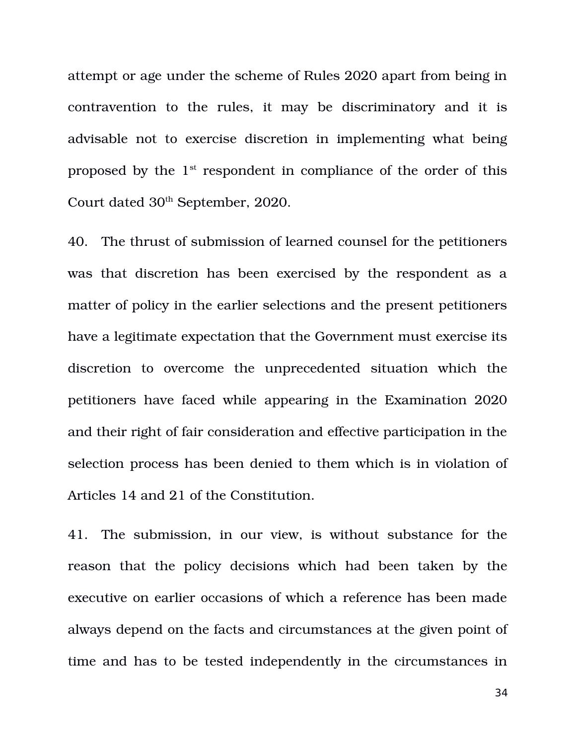attempt or age under the scheme of Rules 2020 apart from being in contravention to the rules, it may be discriminatory and it is advisable not to exercise discretion in implementing what being proposed by the  $1<sup>st</sup>$  respondent in compliance of the order of this Court dated 30<sup>th</sup> September, 2020.

40. The thrust of submission of learned counsel for the petitioners was that discretion has been exercised by the respondent as a matter of policy in the earlier selections and the present petitioners have a legitimate expectation that the Government must exercise its discretion to overcome the unprecedented situation which the petitioners have faced while appearing in the Examination 2020 and their right of fair consideration and effective participation in the selection process has been denied to them which is in violation of Articles 14 and 21 of the Constitution.

41. The submission, in our view, is without substance for the reason that the policy decisions which had been taken by the executive on earlier occasions of which a reference has been made always depend on the facts and circumstances at the given point of time and has to be tested independently in the circumstances in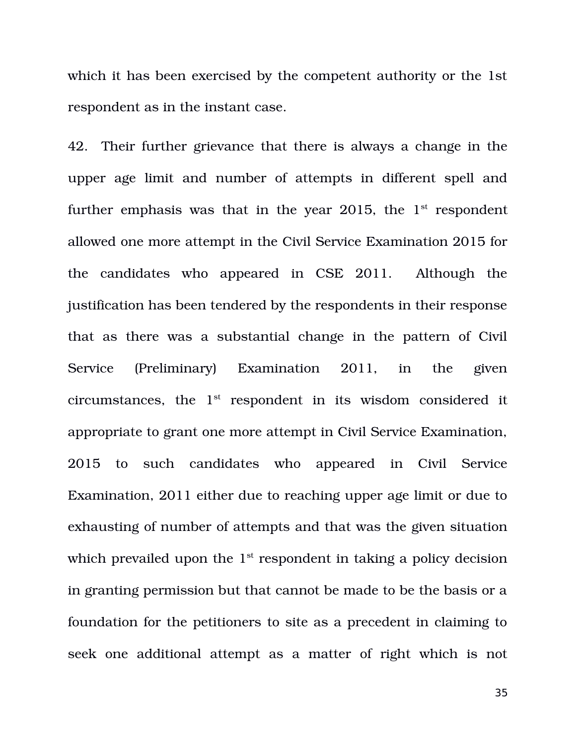which it has been exercised by the competent authority or the 1st respondent as in the instant case.

42. Their further grievance that there is always a change in the upper age limit and number of attempts in different spell and further emphasis was that in the year 2015, the  $1<sup>st</sup>$  respondent allowed one more attempt in the Civil Service Examination 2015 for the candidates who appeared in CSE 2011. Although the justification has been tendered by the respondents in their response that as there was a substantial change in the pattern of Civil Service (Preliminary) Examination 2011, in the given circumstances, the  $1<sup>st</sup>$  respondent in its wisdom considered it appropriate to grant one more attempt in Civil Service Examination, 2015 to such candidates who appeared in Civil Service Examination, 2011 either due to reaching upper age limit or due to exhausting of number of attempts and that was the given situation which prevailed upon the  $1<sup>st</sup>$  respondent in taking a policy decision in granting permission but that cannot be made to be the basis or a foundation for the petitioners to site as a precedent in claiming to seek one additional attempt as a matter of right which is not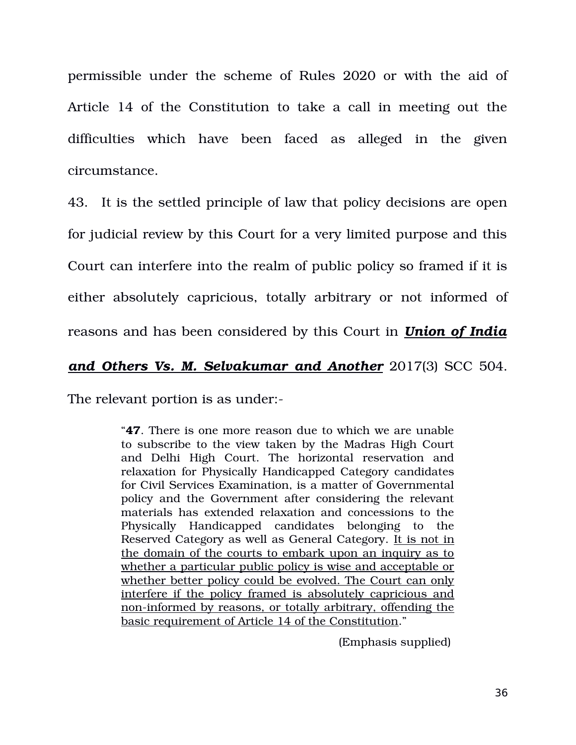permissible under the scheme of Rules 2020 or with the aid of Article 14 of the Constitution to take a call in meeting out the difficulties which have been faced as alleged in the given circumstance.

43. It is the settled principle of law that policy decisions are open for judicial review by this Court for a very limited purpose and this Court can interfere into the realm of public policy so framed if it is either absolutely capricious, totally arbitrary or not informed of reasons and has been considered by this Court in *Union of India*

## *and Others Vs. M. Selvakumar and Another* 2017(3) SCC 504.

The relevant portion is as under:

"**47**. There is one more reason due to which we are unable to subscribe to the view taken by the Madras High Court and Delhi High Court. The horizontal reservation and relaxation for Physically Handicapped Category candidates for Civil Services Examination, is a matter of Governmental policy and the Government after considering the relevant materials has extended relaxation and concessions to the Physically Handicapped candidates belonging to the Reserved Category as well as General Category. It is not in the domain of the courts to embark upon an inquiry as to whether a particular public policy is wise and acceptable or whether better policy could be evolved. The Court can only interfere if the policy framed is absolutely capricious and non-informed by reasons, or totally arbitrary, offending the basic requirement of Article 14 of the Constitution."

(Emphasis supplied)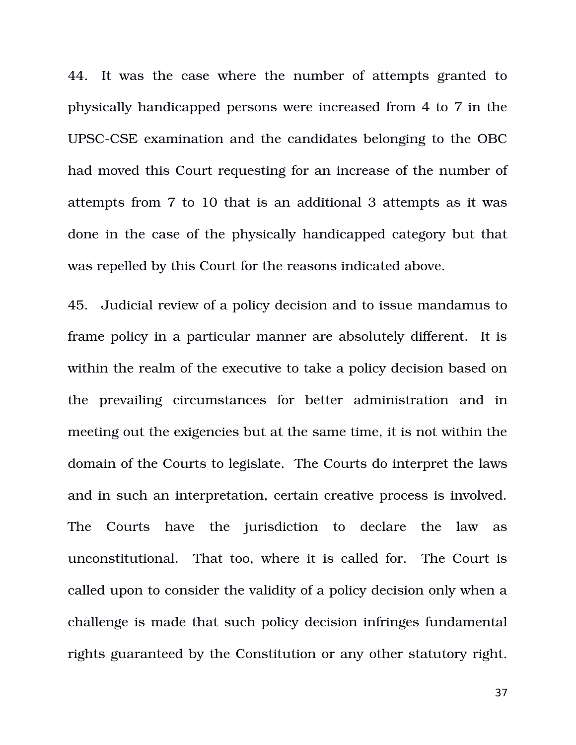44. It was the case where the number of attempts granted to physically handicapped persons were increased from 4 to 7 in the UPSC-CSE examination and the candidates belonging to the OBC had moved this Court requesting for an increase of the number of attempts from 7 to 10 that is an additional 3 attempts as it was done in the case of the physically handicapped category but that was repelled by this Court for the reasons indicated above.

45. Judicial review of a policy decision and to issue mandamus to frame policy in a particular manner are absolutely different. It is within the realm of the executive to take a policy decision based on the prevailing circumstances for better administration and in meeting out the exigencies but at the same time, it is not within the domain of the Courts to legislate. The Courts do interpret the laws and in such an interpretation, certain creative process is involved. The Courts have the jurisdiction to declare the law as unconstitutional. That too, where it is called for. The Court is called upon to consider the validity of a policy decision only when a challenge is made that such policy decision infringes fundamental rights guaranteed by the Constitution or any other statutory right.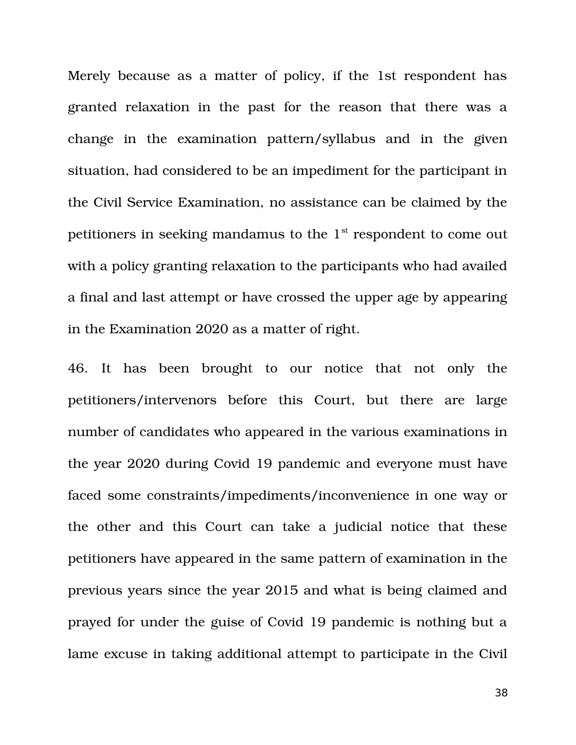Merely because as a matter of policy, if the 1st respondent has granted relaxation in the past for the reason that there was a change in the examination pattern/syllabus and in the given situation, had considered to be an impediment for the participant in the Civil Service Examination, no assistance can be claimed by the petitioners in seeking mandamus to the 1st respondent to come out with a policy granting relaxation to the participants who had availed a final and last attempt or have crossed the upper age by appearing in the Examination 2020 as a matter of right.

46. It has been brought to our notice that not only the petitioners/intervenors before this Court, but there are large number of candidates who appeared in the various examinations in the year 2020 during Covid 19 pandemic and everyone must have faced some constraints/impediments/inconvenience in one way or the other and this Court can take a judicial notice that these petitioners have appeared in the same pattern of examination in the previous years since the year 2015 and what is being claimed and prayed for under the guise of Covid 19 pandemic is nothing but a lame excuse in taking additional attempt to participate in the Civil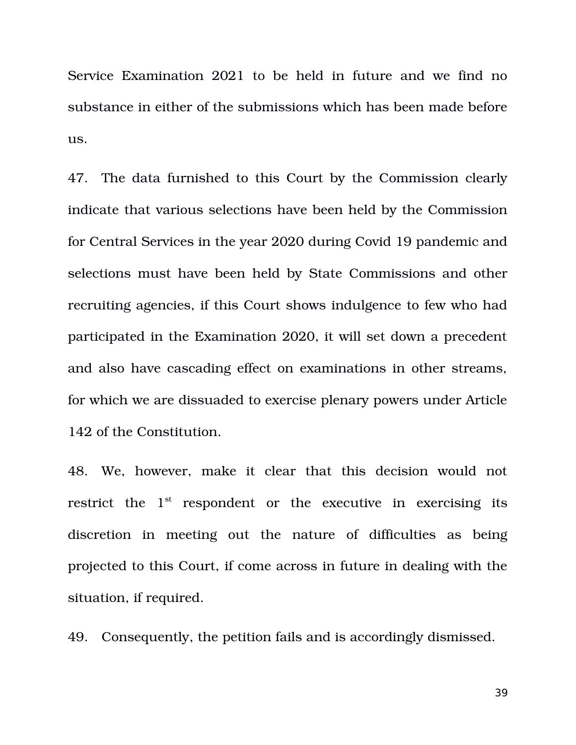Service Examination 2021 to be held in future and we find no substance in either of the submissions which has been made before us.

47. The data furnished to this Court by the Commission clearly indicate that various selections have been held by the Commission for Central Services in the year 2020 during Covid 19 pandemic and selections must have been held by State Commissions and other recruiting agencies, if this Court shows indulgence to few who had participated in the Examination 2020, it will set down a precedent and also have cascading effect on examinations in other streams, for which we are dissuaded to exercise plenary powers under Article 142 of the Constitution.

48. We, however, make it clear that this decision would not restrict the  $1<sup>st</sup>$  respondent or the executive in exercising its discretion in meeting out the nature of difficulties as being projected to this Court, if come across in future in dealing with the situation, if required.

49. Consequently, the petition fails and is accordingly dismissed.